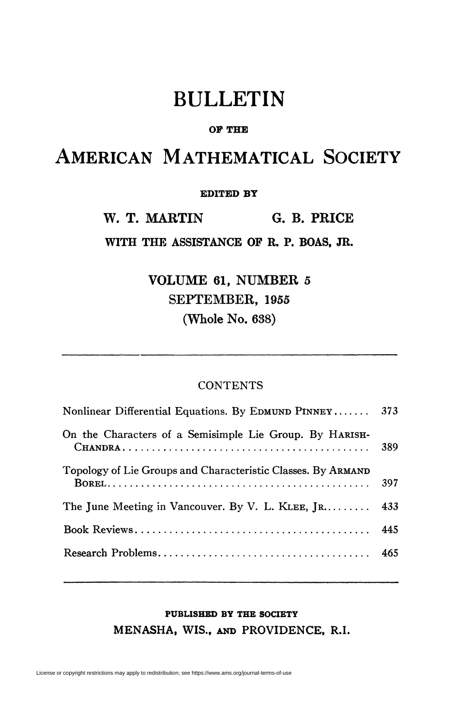# BULLETIN

### **OF THE**

# AMERICAN MATHEMATICAL SOCIETY

#### **EDITED BT**

**W. T. MARTIN G. B. PRICE** 

**WITH THE ASSISTANCE OP R. P. BOAS, JR.** 

**VOLUME 61, NUMBER 5 SEPTEMBER, 1955 (Whole No. 638)** 

### **CONTENTS**

| Nonlinear Differential Equations. By EDMUND PINNEY 373                                        |     |
|-----------------------------------------------------------------------------------------------|-----|
| On the Characters of a Semisimple Lie Group. By HARISH-                                       | 389 |
| Topology of Lie Groups and Characteristic Classes. By ARMAND                                  | 397 |
| The June Meeting in Vancouver. By V. L. KLEE, $\left[ \mathbb{R}, \ldots, \mathbb{R} \right]$ | 433 |
|                                                                                               | 445 |
|                                                                                               |     |

## **PUBLISHED BY THE SOCIETY MENASHA, WIS., AND PROVIDENCE. R.I.**